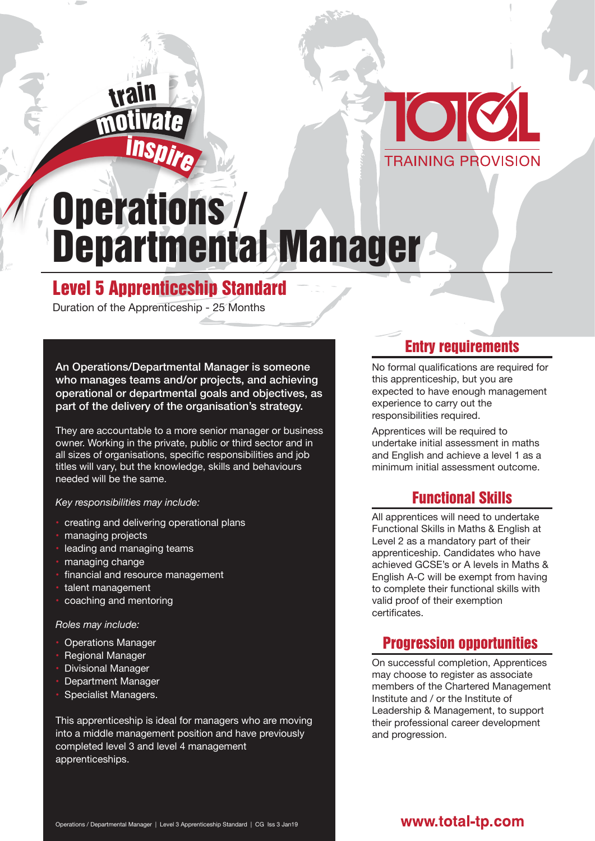## motivat<sup>e</sup> <sup>i</sup>nspir<sup>e</sup> trai<sup>n</sup>



# Operations / Departmental Manager

### Level 5 Apprenticeship Standard

Duration of the Apprenticeship - 25 Months

An Operations/Departmental Manager is someone who manages teams and/or projects, and achieving operational or departmental goals and objectives, as part of the delivery of the organisation's strategy.

They are accountable to a more senior manager or business owner. Working in the private, public or third sector and in all sizes of organisations, specific responsibilities and job titles will vary, but the knowledge, skills and behaviours needed will be the same.

#### *Key responsibilities may include:*

- creating and delivering operational plans
- managing projects
- leading and managing teams
- managing change
- financial and resource management
- talent management
- coaching and mentoring

#### *Roles may include:*

- Operations Manager
- Regional Manager
- Divisional Manager
- Department Manager
- Specialist Managers.

This apprenticeship is ideal for managers who are moving into a middle management position and have previously completed level 3 and level 4 management apprenticeships.

#### Entry requirements

No formal qualifications are required for this apprenticeship, but you are expected to have enough management experience to carry out the responsibilities required.

Apprentices will be required to undertake initial assessment in maths and English and achieve a level 1 as a minimum initial assessment outcome.

#### Functional Skills

All apprentices will need to undertake Functional Skills in Maths & English at Level 2 as a mandatory part of their apprenticeship. Candidates who have achieved GCSE's or A levels in Maths & English A-C will be exempt from having to complete their functional skills with valid proof of their exemption certificates.

#### Progression opportunities

On successful completion, Apprentices may choose to register as associate members of the Chartered Management Institute and / or the Institute of Leadership & Management, to support their professional career development and progression.

#### www.total-tp.com